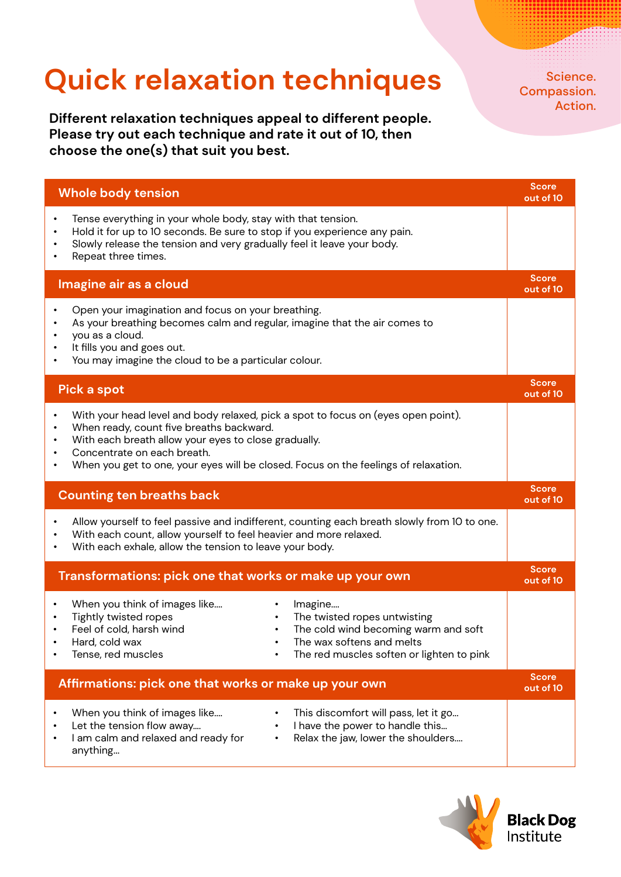## **Quick relaxation techniques**

**Different relaxation techniques appeal to different people. Please try out each technique and rate it out of 10, then choose the one(s) that suit you best.**

Science. Compassion. Action.

|                                                       | <b>Whole body tension</b>                                                                                                                                                                                                                                                                                   | <b>Score</b><br>out of 10 |
|-------------------------------------------------------|-------------------------------------------------------------------------------------------------------------------------------------------------------------------------------------------------------------------------------------------------------------------------------------------------------------|---------------------------|
| $\bullet$<br>$\bullet$                                | Tense everything in your whole body, stay with that tension.<br>Hold it for up to 10 seconds. Be sure to stop if you experience any pain.<br>Slowly release the tension and very gradually feel it leave your body.<br>Repeat three times.                                                                  |                           |
|                                                       | Imagine air as a cloud                                                                                                                                                                                                                                                                                      | <b>Score</b><br>out of 10 |
|                                                       | Open your imagination and focus on your breathing.<br>As your breathing becomes calm and regular, imagine that the air comes to<br>you as a cloud.<br>It fills you and goes out.<br>You may imagine the cloud to be a particular colour.                                                                    |                           |
|                                                       | <b>Pick a spot</b>                                                                                                                                                                                                                                                                                          | <b>Score</b><br>out of 10 |
|                                                       | With your head level and body relaxed, pick a spot to focus on (eyes open point).<br>When ready, count five breaths backward.<br>With each breath allow your eyes to close gradually.<br>Concentrate on each breath.<br>When you get to one, your eyes will be closed. Focus on the feelings of relaxation. |                           |
| <b>Counting ten breaths back</b>                      |                                                                                                                                                                                                                                                                                                             | <b>Score</b><br>out of 10 |
|                                                       | Allow yourself to feel passive and indifferent, counting each breath slowly from 10 to one.<br>With each count, allow yourself to feel heavier and more relaxed.<br>With each exhale, allow the tension to leave your body.                                                                                 |                           |
|                                                       | Transformations: pick one that works or make up your own                                                                                                                                                                                                                                                    | <b>Score</b><br>out of 10 |
|                                                       | When you think of images like<br>Imagine<br>Tightly twisted ropes<br>The twisted ropes untwisting<br>Feel of cold, harsh wind<br>The cold wind becoming warm and soft<br>Hard, cold wax<br>The wax softens and melts<br>Tense, red muscles<br>The red muscles soften or lighten to pink                     |                           |
| Affirmations: pick one that works or make up your own |                                                                                                                                                                                                                                                                                                             |                           |
|                                                       | When you think of images like<br>This discomfort will pass, let it go<br>$\bullet$<br>I have the power to handle this<br>Let the tension flow away<br>$\bullet$<br>I am calm and relaxed and ready for<br>Relax the jaw, lower the shoulders<br>$\bullet$<br>anything                                       |                           |